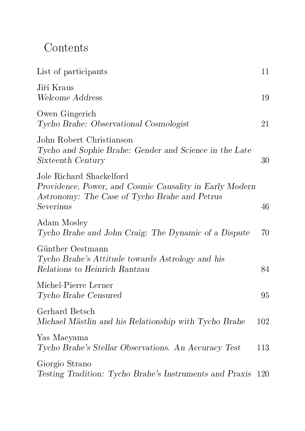## **Contents**

| List of participants                                                                                                                              | 11     |
|---------------------------------------------------------------------------------------------------------------------------------------------------|--------|
| Jiří Kraus<br>Welcome Address                                                                                                                     | 19     |
| Owen Gingerich<br>Tycho Brahe: Observational Cosmologist                                                                                          | 21     |
| John Robert Christianson<br>Tycho and Sophie Brahe: Gender and Science in the Late<br>Sixteenth Century                                           | $30\,$ |
| Jole Richard Shackelford<br>Providence, Power, and Cosmic Causality in Early Modern<br>Astronomy: The Case of Tycho Brahe and Petrus<br>Severinus | 46     |
| Adam Mosley<br>Tycho Brahe and John Craig: The Dynamic of a Dispute                                                                               | 70     |
| Günther Oestmann<br>Tycho Brahe's Attitude towards Astrology and his<br>Relations to Heinrich Rantzau                                             | 84     |
| Michel-Pierre Lerner<br>Tycho Brahe Censured                                                                                                      | 95     |
| Gerhard Betsch<br>Michael Mästlin and his Relationship with Tycho Brahe                                                                           | 102    |
| Yas Maeyama<br>Tycho Brahe's Stellar Observations. An Accuracy Test                                                                               | 113    |
| Giorgio Strano<br>Testing Tradition: Tycho Brahe's Instruments and Praxis 120                                                                     |        |
|                                                                                                                                                   |        |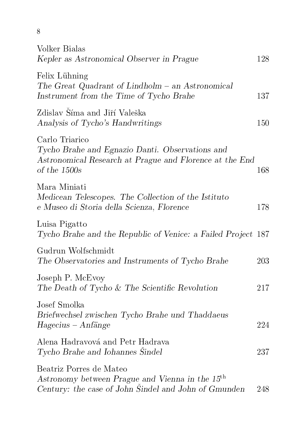| Volker Bialas<br>Kepler as Astronomical Observer in Prague                                                                                     | 128     |
|------------------------------------------------------------------------------------------------------------------------------------------------|---------|
| Felix Lühning<br>The Great Quadrant of Lindholm $-$ an Astronomical<br>Instrument from the Time of Tycho Brahe                                 | 137     |
| Zdislav Šíma and Jiří Valeška<br>Analysis of Tycho's Handwritings                                                                              | 150     |
| Carlo Triarico<br>Tycho Brahe and Egnazio Danti. Observations and<br>Astronomical Research at Prague and Florence at the End<br>of the $1500s$ | 168     |
| Mara Miniati<br>Medicean Telescopes. The Collection of the Istituto<br>e Museo di Storia della Scienza, Florence                               | 178     |
| Luisa Pigatto<br>Tycho Brahe and the Republic of Venice: a Failed Project 187                                                                  |         |
| Gudrun Wolfschmidt<br>The Observatories and Instruments of Tycho Brahe                                                                         | $203\,$ |
| Joseph P. McEvoy<br>The Death of Tycho $&$ The Scientific Revolution                                                                           | 217     |
| Josef Smolka<br>Briefwechsel zwischen Tycho Brahe und Thaddaeus<br>$Hagecius - Anfänge$                                                        | 224     |
| Alena Hadravová and Petr Hadrava<br>Tycho Brahe and Iohannes Sindel                                                                            | $237\,$ |
| Beatriz Porres de Mateo<br>Astronomy between Prague and Vienna in the $15^{\text{th}}$<br>Century: the case of John Sindel and John of Gmunden | 248     |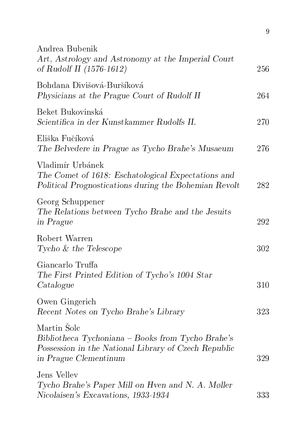| Andrea Bubenik<br>Art, Astrology and Astronomy at the Imperial Court<br>of Rudolf II $(1576-1612)$                                                | 256     |
|---------------------------------------------------------------------------------------------------------------------------------------------------|---------|
| Bohdana Divišová-Buršíková<br>Physicians at the Prague Court of Rudolf II                                                                         | 264     |
| Beket Bukovinská<br>Scientifica in der Kunstkammer Rudolfs II.                                                                                    | $270\,$ |
| Eliška Fučíková<br>The Belvedere in Prague as Tycho Brahe's Musaeum                                                                               | 276     |
| Vladimír Urbánek<br>The Comet of 1618: Eschatological Expectations and<br>Political Prognostications during the Bohemian Revolt                   | 282     |
| Georg Schuppener<br>The Relations between Tycho Brahe and the Jesuits<br>in Prague                                                                | 292     |
| Robert Warren<br>$Tycho \& the Telescope$                                                                                                         | 302     |
| Giancarlo Truffa<br>The First Printed Edition of Tycho's 1004 Star<br>Catalogue                                                                   | 310     |
| Owen Gingerich<br>Recent Notes on Tycho Brahe's Library                                                                                           | 323     |
| Martin Solc<br>Bibliotheca Tychoniana – Books from Tycho Brahe's<br>Possession in the National Library of Czech Republic<br>in Prague Clementinum | 329     |
| Jens Vellev<br>Tycho Brahe's Paper Mill on Hven and N. A. Møller<br>Nicolaisen's Excavations, 1933-1934                                           | 333     |